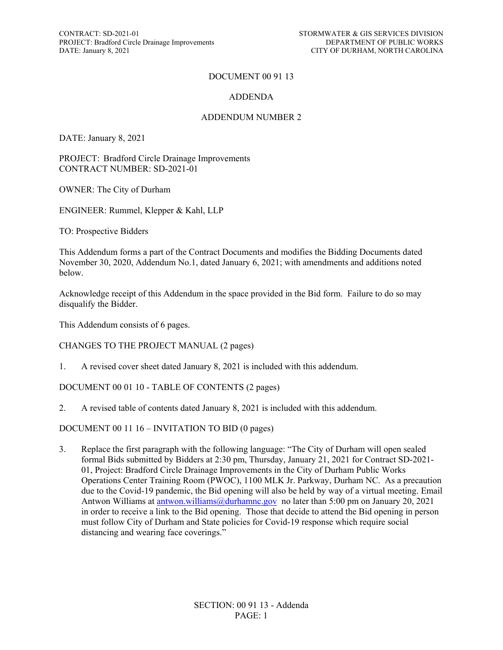CONTRACT: SD-2021-01<br>
PROJECT: Bradford Circle Drainage Improvements<br>
DEPARTMENT OF PUBLIC WORKS PROJECT: Bradford Circle Drainage Improvements DATE: January 8, 2021

#### DOCUMENT 00 91 13

#### ADDENDA

#### ADDENDUM NUMBER 2

DATE: January 8, 2021

PROJECT: Bradford Circle Drainage Improvements CONTRACT NUMBER: SD-2021-01

OWNER: The City of Durham

ENGINEER: Rummel, Klepper & Kahl, LLP

TO: Prospective Bidders

This Addendum forms a part of the Contract Documents and modifies the Bidding Documents dated November 30, 2020, Addendum No.1, dated January 6, 2021; with amendments and additions noted below.

Acknowledge receipt of this Addendum in the space provided in the Bid form. Failure to do so may disqualify the Bidder.

This Addendum consists of 6 pages.

CHANGES TO THE PROJECT MANUAL (2 pages)

1. A revised cover sheet dated January 8, 2021 is included with this addendum.

DOCUMENT 00 01 10 - TABLE OF CONTENTS (2 pages)

2. A revised table of contents dated January 8, 2021 is included with this addendum.

DOCUMENT 00 11 16 – INVITATION TO BID (0 pages)

3. Replace the first paragraph with the following language: "The City of Durham will open sealed formal Bids submitted by Bidders at 2:30 pm, Thursday, January 21, 2021 for Contract SD-2021- 01, Project: Bradford Circle Drainage Improvements in the City of Durham Public Works Operations Center Training Room (PWOC), 1100 MLK Jr. Parkway, Durham NC. As a precaution due to the Covid-19 pandemic, the Bid opening will also be held by way of a virtual meeting. Email Antwon Williams at [antwon.williams@durhamnc.gov](mailto:antwon.williams@durhamnc.gov) no later than 5:00 pm on January 20, 2021 in order to receive a link to the Bid opening. Those that decide to attend the Bid opening in person must follow City of Durham and State policies for Covid-19 response which require social distancing and wearing face coverings."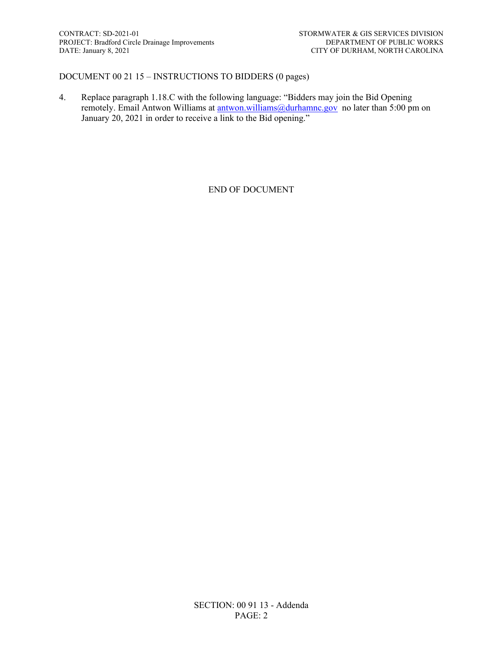#### DOCUMENT 00 21 15 – INSTRUCTIONS TO BIDDERS (0 pages)

4. Replace paragraph 1.18.C with the following language: "Bidders may join the Bid Opening remotely. Email Antwon Williams at [antwon.williams@durhamnc.gov](mailto:antwon.williams@durhamnc.gov) no later than 5:00 pm on January 20, 2021 in order to receive a link to the Bid opening."

END OF DOCUMENT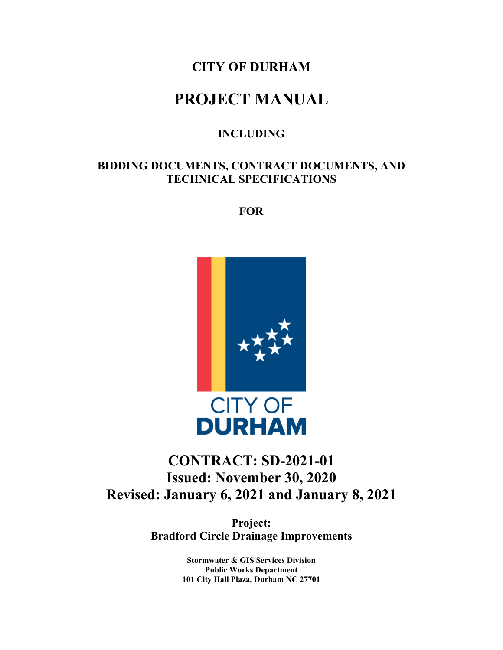### **CITY OF DURHAM**

# **PROJECT MANUAL**

### **INCLUDING**

### **BIDDING DOCUMENTS, CONTRACT DOCUMENTS, AND TECHNICAL SPECIFICATIONS**

**FOR**



## **CONTRACT: SD-2021-01 Issued: November 30, 2020 Revised: January 6, 2021 and January 8, 2021**

**Project: Bradford Circle Drainage Improvements**

> **Stormwater & GIS Services Division Public Works Department 101 City Hall Plaza, Durham NC 27701**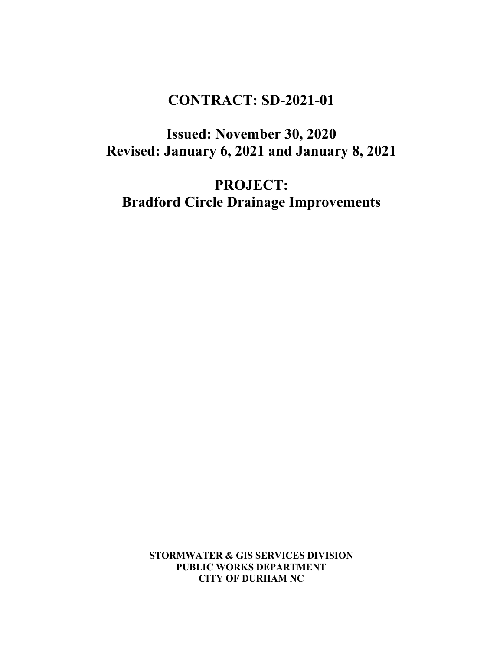# **CONTRACT: SD-2021-01**

**Issued: November 30, 2020 Revised: January 6, 2021 and January 8, 2021**

**PROJECT: Bradford Circle Drainage Improvements**

> **STORMWATER & GIS SERVICES DIVISION PUBLIC WORKS DEPARTMENT CITY OF DURHAM NC**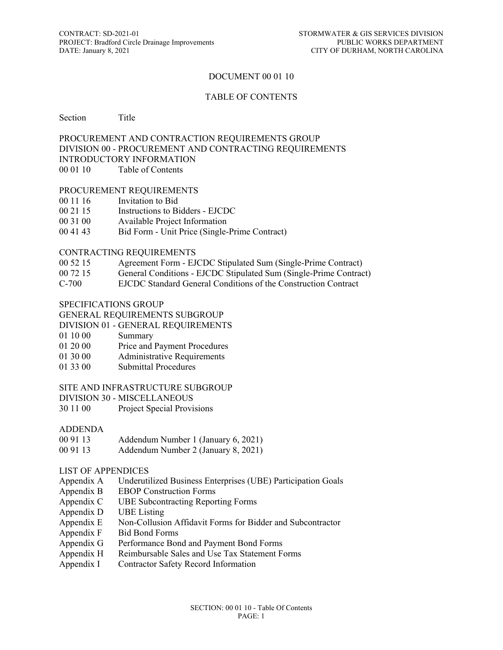#### DOCUMENT 00 01 10

#### TABLE OF CONTENTS

#### Section Title

#### PROCUREMENT AND CONTRACTION REQUIREMENTS GROUP DIVISION 00 - PROCUREMENT AND CONTRACTING REQUIREMENTS INTRODUCTORY INFORMATION 00 01 10 Table of Contents

## PROCUREMENT REQUIREMENTS

- 00 11 16 Invitation to Bid
- 00 21 15 Instructions to Bidders EJCDC
- 00 31 00 Available Project Information
- 00 41 43 Bid Form Unit Price (Single-Prime Contract)

#### CONTRACTING REQUIREMENTS

- 00 52 15 Agreement Form EJCDC Stipulated Sum (Single-Prime Contract)
- 00 72 15 General Conditions EJCDC Stipulated Sum (Single-Prime Contract)
- C-700 EJCDC Standard General Conditions of the Construction Contract

#### SPECIFICATIONS GROUP

#### GENERAL REQUIREMENTS SUBGROUP

- DIVISION 01 GENERAL REQUIREMENTS
- 01 10 00 Summary
- 01 20 00 Price and Payment Procedures
- 01 30 00 Administrative Requirements
- 01 33 00 Submittal Procedures

#### SITE AND INFRASTRUCTURE SUBGROUP

DIVISION 30 - MISCELLANEOUS

30 11 00 Project Special Provisions

#### ADDENDA

- 00 91 13 Addendum Number 1 (January 6, 2021)
- 00 91 13 Addendum Number 2 (January 8, 2021)

#### LIST OF APPENDICES

- Appendix A Underutilized Business Enterprises (UBE) Participation Goals
- Appendix B EBOP Construction Forms
- Appendix C UBE Subcontracting Reporting Forms
- Appendix D UBE Listing
- Appendix E Non-Collusion Affidavit Forms for Bidder and Subcontractor
- Appendix F Bid Bond Forms
- Appendix G Performance Bond and Payment Bond Forms
- Appendix H Reimbursable Sales and Use Tax Statement Forms
- Appendix I Contractor Safety Record Information